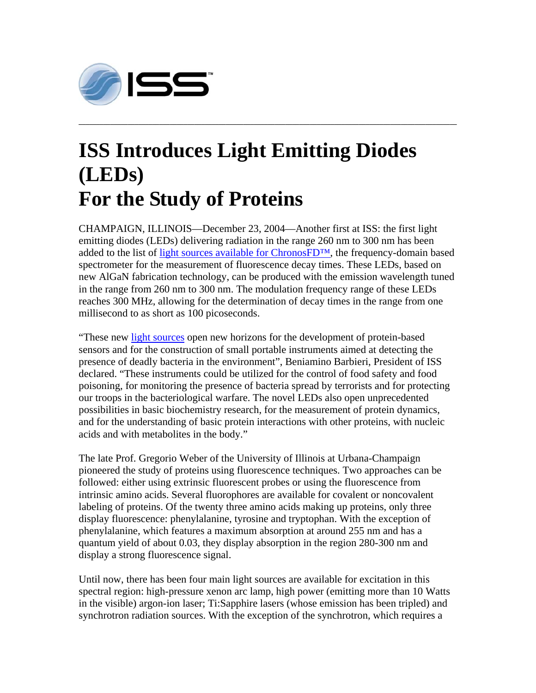

## **ISS Introduces Light Emitting Diodes (LEDs) For the Study of Proteins**

CHAMPAIGN, ILLINOIS—December 23, 2004—Another first at ISS: the first light emitting diodes (LEDs) delivering radiation in the range 260 nm to 300 nm has been added to the list of light sources available for ChronosFD™, the frequency-domain based spectrometer for the measurement of fluorescence decay times. These LEDs, based on new AlGaN fabrication technology, can be produced with the emission wavelength tuned in the range from 260 nm to 300 nm. The modulation frequency range of these LEDs reaches 300 MHz, allowing for the determination of decay times in the range from one millisecond to as short as 100 picoseconds.

**\_\_\_\_\_\_\_\_\_\_\_\_\_\_\_\_\_\_\_\_\_\_\_\_\_\_\_\_\_\_\_\_\_\_\_\_\_\_\_\_\_\_\_\_\_\_\_\_\_\_\_\_\_\_\_\_\_\_\_\_\_\_\_\_\_\_\_\_\_\_\_\_\_\_\_\_\_\_\_\_\_\_\_\_\_\_\_\_\_\_\_\_\_\_\_\_\_\_\_\_\_\_\_\_\_\_\_\_** 

"These new light sources open new horizons for the development of protein-based sensors and for the construction of small portable instruments aimed at detecting the presence of deadly bacteria in the environment", Beniamino Barbieri, President of ISS declared. "These instruments could be utilized for the control of food safety and food poisoning, for monitoring the presence of bacteria spread by terrorists and for protecting our troops in the bacteriological warfare. The novel LEDs also open unprecedented possibilities in basic biochemistry research, for the measurement of protein dynamics, and for the understanding of basic protein interactions with other proteins, with nucleic acids and with metabolites in the body."

The late Prof. Gregorio Weber of the University of Illinois at Urbana-Champaign pioneered the study of proteins using fluorescence techniques. Two approaches can be followed: either using extrinsic fluorescent probes or using the fluorescence from intrinsic amino acids. Several fluorophores are available for covalent or noncovalent labeling of proteins. Of the twenty three amino acids making up proteins, only three display fluorescence: phenylalanine, tyrosine and tryptophan. With the exception of phenylalanine, which features a maximum absorption at around 255 nm and has a quantum yield of about 0.03, they display absorption in the region 280-300 nm and display a strong fluorescence signal.

Until now, there has been four main light sources are available for excitation in this spectral region: high-pressure xenon arc lamp, high power (emitting more than 10 Watts in the visible) argon-ion laser; Ti:Sapphire lasers (whose emission has been tripled) and synchrotron radiation sources. With the exception of the synchrotron, which requires a